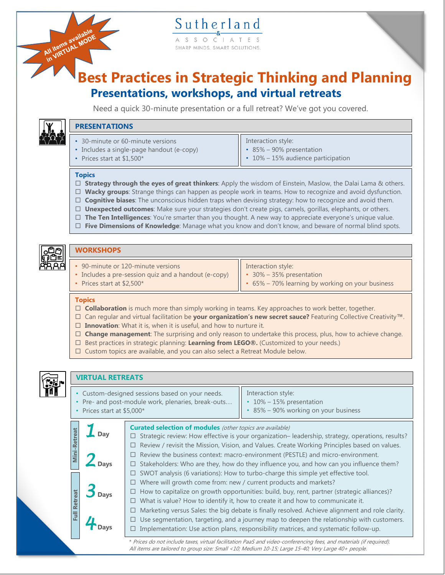S S O SHARP MINDS. SMART SOLUTIONS

# **Best Practices in Strategic Thinking and Planning Presentations, workshops, and virtual retreats**

Need a quick 30-minute presentation or a full retreat? We've got you covered.



All items available

| • 30-minute or 60-minute versions<br>• Includes a single-page handout (e-copy)<br>• Prices start at $$1,500*$ | Interaction style:<br>$\parallel$ • 85% – 90% presentation<br>$\vert \cdot 10\% - 15\%$ audience participation |
|---------------------------------------------------------------------------------------------------------------|----------------------------------------------------------------------------------------------------------------|
|                                                                                                               |                                                                                                                |

## **Topics**

**DRESENTATIONS** 

- **Strategy through the eyes of great thinkers**: Apply the wisdom of Einstein, Maslow, the Dalai Lama & others.
- **Wacky groups**: Strange things can happen as people work in teams. How to recognize and avoid dysfunction.
- **Cognitive biases**: The unconscious hidden traps when devising strategy: how to recognize and avoid them.
- **Unexpected outcomes**: Make sure your strategies don't create pigs, camels, gorillas, elephants, or others.
- **The Ten Intelligences**: You're smarter than you thought. A new way to appreciate everyone's unique value.
- **Five Dimensions of Knowledge**: Manage what you know and don't know, and beware of normal blind spots.



## **WORKSHOPS**

- 90-minute or 120-minute versions
- Includes a pre-session quiz and a handout (e-copy)
- Interaction style:
- 30% 35% presentation
- Prices start at \$2,500\*

• 65% – 70% learning by working on your business

### **Topics**

- □ **Collaboration** is much more than simply working in teams. Key approaches to work better, together.
- Can regular and virtual facilitation be **your organization's new secret sauce?** Featuring Collective Creativity™.
- **Innovation**: What it is, when it is useful, and how to nurture it.
- **Change management**: The surprising and only reason to undertake this process, plus, how to achieve change.
- □ Best practices in strategic planning: Learning from LEGO®. (Customized to your needs.)
- $\Box$  Custom topics are available, and you can also select a Retreat Module below.



## **VIRTUAL RETREATS**

| Custom-designed sessions based on your needs.    | Interaction style:                         |
|--------------------------------------------------|--------------------------------------------|
| Pre- and post-module work, plenaries, break-outs | 10% - 15% presentation                     |
| Prices start at \$5,000*                         | $\cdot$ 85% – 90% working on your business |
|                                                  |                                            |

**Curated selection of modules** (other topics are available) **Mini-Retreat Mini-Retreat** *1* **Day**  $\Box$  Strategic review: How effective is your organization– leadership, strategy, operations, results?  $\Box$  Review / revisit the Mission, Vision, and Values. Create Working Principles based on values.  $\Box$  Review the business context: macro-environment (PESTLE) and micro-environment. *2* **Days**  $\square$  Stakeholders: Who are they, how do they influence you, and how can you influence them?  $\Box$  SWOT analysis (6 variations): How to turbo-charge this simple yet effective tool.  $\Box$  Where will growth come from: new / current products and markets? *3* **Days**  $\Box$  How to capitalize on growth opportunities: build, buy, rent, partner (strategic alliances)? **Full Retreat Full Retreat**  $\Box$  What is value? How to identify it, how to create it and how to communicate it.  $\Box$  Marketing versus Sales: the big debate is finally resolved. Achieve alignment and role clarity.  $\Box$  Use segmentation, targeting, and a journey map to deepen the relationship with customers. *4* **Days**  $\Box$  Implementation: Use action plans, responsibility matrices, and systematic follow-up. \* Prices do not include taxes, virtual facilitation PaaS and video-conferencing fees, and materials (if required).

All items are tailored to group size: Small <10; Medium 10-15; Large 15-40; Very Large 40+ people.